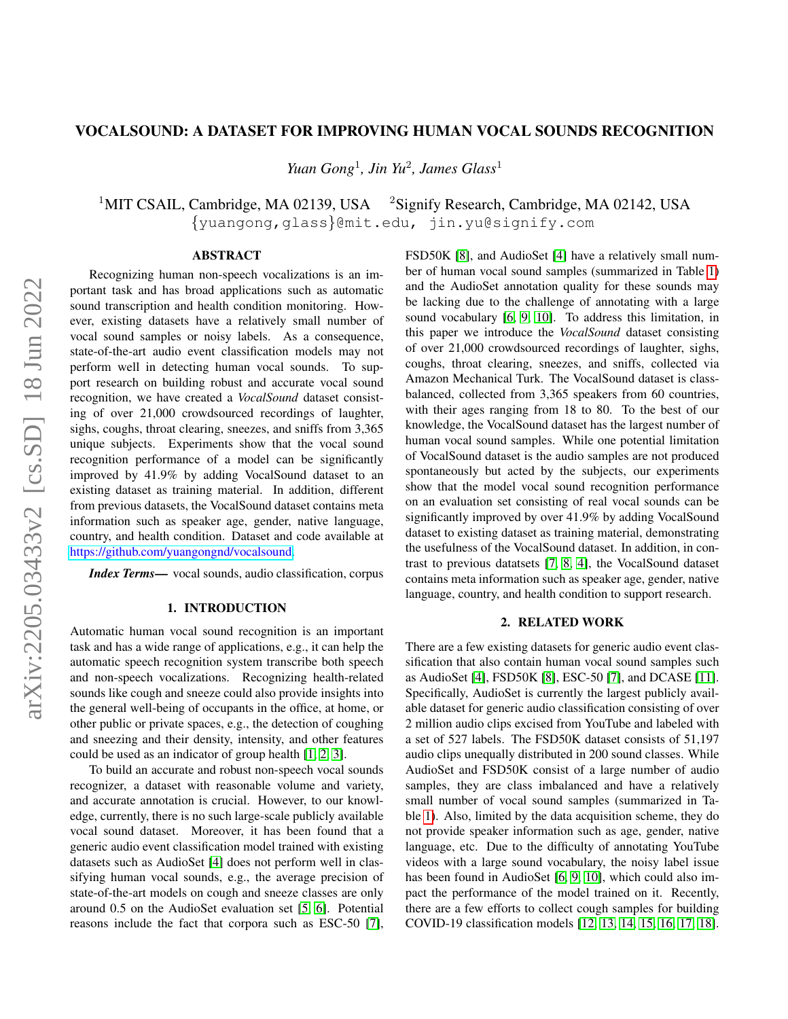# VOCALSOUND: A DATASET FOR IMPROVING HUMAN VOCAL SOUNDS RECOGNITION

*Yuan Gong*<sup>1</sup> *, Jin Yu*<sup>2</sup> *, James Glass*<sup>1</sup>

<sup>1</sup>MIT CSAIL, Cambridge, MA 02139, USA  $^{2}$ Signify Research, Cambridge, MA 02142, USA {yuangong,glass}@mit.edu, jin.yu@signify.com

# **ABSTRACT**

arXiv:2205.03433v2 [cs.SD] 18 Jun 2022 arXiv:2205.03433v2 [cs.SD] 18 Jun 2022

Recognizing human non-speech vocalizations is an important task and has broad applications such as automatic sound transcription and health condition monitoring. However, existing datasets have a relatively small number of vocal sound samples or noisy labels. As a consequence, state-of-the-art audio event classification models may not perform well in detecting human vocal sounds. To support research on building robust and accurate vocal sound recognition, we have created a *VocalSound* dataset consisting of over 21,000 crowdsourced recordings of laughter, sighs, coughs, throat clearing, sneezes, and sniffs from 3,365 unique subjects. Experiments show that the vocal sound recognition performance of a model can be significantly improved by 41.9% by adding VocalSound dataset to an existing dataset as training material. In addition, different from previous datasets, the VocalSound dataset contains meta information such as speaker age, gender, native language, country, and health condition. Dataset and code available at [https://github.com/yuangongnd/vocalsound.](https://github.com/yuangongnd/vocalsound)

*Index Terms*— vocal sounds, audio classification, corpus

# 1. INTRODUCTION

Automatic human vocal sound recognition is an important task and has a wide range of applications, e.g., it can help the automatic speech recognition system transcribe both speech and non-speech vocalizations. Recognizing health-related sounds like cough and sneeze could also provide insights into the general well-being of occupants in the office, at home, or other public or private spaces, e.g., the detection of coughing and sneezing and their density, intensity, and other features could be used as an indicator of group health [\[1,](#page-4-0) [2,](#page-4-1) [3\]](#page-4-2).

To build an accurate and robust non-speech vocal sounds recognizer, a dataset with reasonable volume and variety, and accurate annotation is crucial. However, to our knowledge, currently, there is no such large-scale publicly available vocal sound dataset. Moreover, it has been found that a generic audio event classification model trained with existing datasets such as AudioSet [\[4\]](#page-4-3) does not perform well in classifying human vocal sounds, e.g., the average precision of state-of-the-art models on cough and sneeze classes are only around 0.5 on the AudioSet evaluation set [\[5,](#page-4-4) [6\]](#page-4-5). Potential reasons include the fact that corpora such as ESC-50 [\[7\]](#page-4-6),

FSD50K [\[8\]](#page-4-7), and AudioSet [\[4\]](#page-4-3) have a relatively small number of human vocal sound samples (summarized in Table [1\)](#page-1-0) and the AudioSet annotation quality for these sounds may be lacking due to the challenge of annotating with a large sound vocabulary [\[6,](#page-4-5) [9,](#page-4-8) [10\]](#page-4-9). To address this limitation, in this paper we introduce the *VocalSound* dataset consisting of over 21,000 crowdsourced recordings of laughter, sighs, coughs, throat clearing, sneezes, and sniffs, collected via Amazon Mechanical Turk. The VocalSound dataset is classbalanced, collected from 3,365 speakers from 60 countries, with their ages ranging from 18 to 80. To the best of our knowledge, the VocalSound dataset has the largest number of human vocal sound samples. While one potential limitation of VocalSound dataset is the audio samples are not produced spontaneously but acted by the subjects, our experiments show that the model vocal sound recognition performance on an evaluation set consisting of real vocal sounds can be significantly improved by over 41.9% by adding VocalSound dataset to existing dataset as training material, demonstrating the usefulness of the VocalSound dataset. In addition, in contrast to previous datatsets [\[7,](#page-4-6) [8,](#page-4-7) [4\]](#page-4-3), the VocalSound dataset contains meta information such as speaker age, gender, native language, country, and health condition to support research.

# 2. RELATED WORK

There are a few existing datasets for generic audio event classification that also contain human vocal sound samples such as AudioSet [\[4\]](#page-4-3), FSD50K [\[8\]](#page-4-7), ESC-50 [\[7\]](#page-4-6), and DCASE [\[11\]](#page-4-10). Specifically, AudioSet is currently the largest publicly available dataset for generic audio classification consisting of over 2 million audio clips excised from YouTube and labeled with a set of 527 labels. The FSD50K dataset consists of 51,197 audio clips unequally distributed in 200 sound classes. While AudioSet and FSD50K consist of a large number of audio samples, they are class imbalanced and have a relatively small number of vocal sound samples (summarized in Table [1\)](#page-1-0). Also, limited by the data acquisition scheme, they do not provide speaker information such as age, gender, native language, etc. Due to the difficulty of annotating YouTube videos with a large sound vocabulary, the noisy label issue has been found in AudioSet [\[6,](#page-4-5) [9,](#page-4-8) [10\]](#page-4-9), which could also impact the performance of the model trained on it. Recently, there are a few efforts to collect cough samples for building COVID-19 classification models [\[12,](#page-4-11) [13,](#page-4-12) [14,](#page-4-13) [15,](#page-4-14) [16,](#page-4-15) [17,](#page-4-16) [18\]](#page-4-17).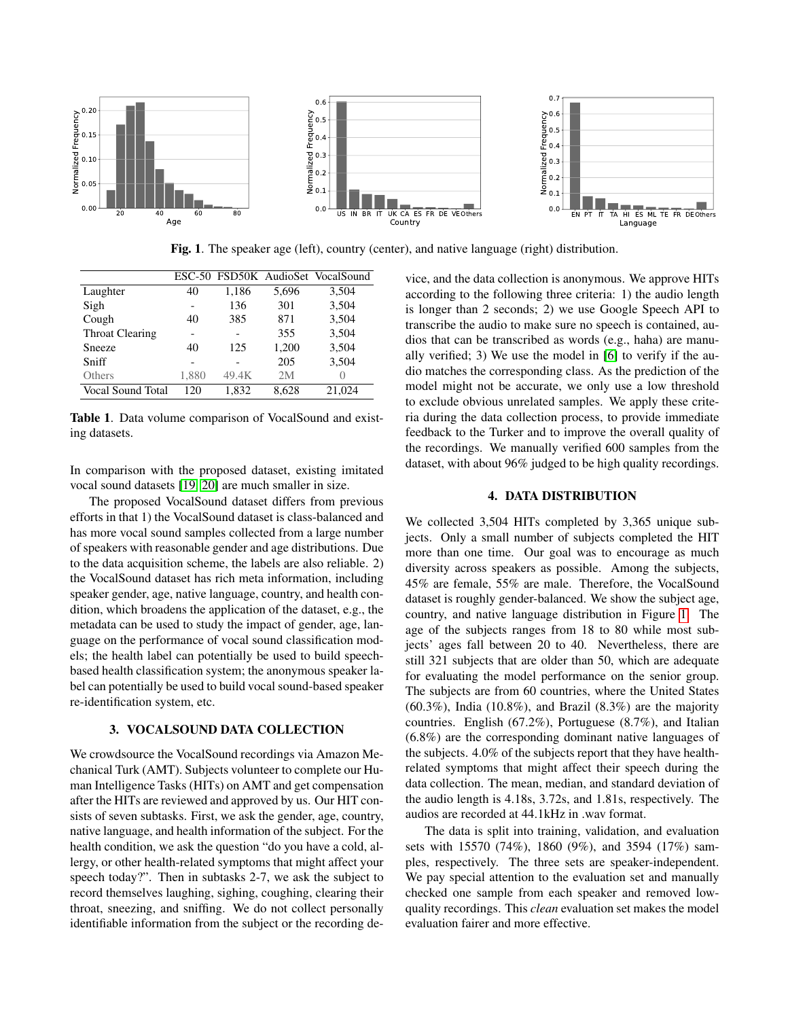

<span id="page-1-1"></span>Fig. 1. The speaker age (left), country (center), and native language (right) distribution.

|                   |       |                          |       | ESC-50 FSD50K AudioSet VocalSound |
|-------------------|-------|--------------------------|-------|-----------------------------------|
| Laughter          | 40    | 1,186                    | 5,696 | 3,504                             |
| Sigh              |       | 136                      | 301   | 3,504                             |
| Cough             | 40    | 385                      | 871   | 3,504                             |
| Throat Clearing   |       | $\overline{\phantom{0}}$ | 355   | 3,504                             |
| Sneeze            | 40    | 125                      | 1,200 | 3,504                             |
| Sniff             |       |                          | 205   | 3,504                             |
| Others            | 1,880 | 49.4K                    | 2M    | $\left( \right)$                  |
| Vocal Sound Total | 120   | 1,832                    | 8,628 | 21,024                            |

<span id="page-1-0"></span>Table 1. Data volume comparison of VocalSound and existing datasets.

In comparison with the proposed dataset, existing imitated vocal sound datasets [\[19,](#page-4-18) [20\]](#page-4-19) are much smaller in size.

The proposed VocalSound dataset differs from previous efforts in that 1) the VocalSound dataset is class-balanced and has more vocal sound samples collected from a large number of speakers with reasonable gender and age distributions. Due to the data acquisition scheme, the labels are also reliable. 2) the VocalSound dataset has rich meta information, including speaker gender, age, native language, country, and health condition, which broadens the application of the dataset, e.g., the metadata can be used to study the impact of gender, age, language on the performance of vocal sound classification models; the health label can potentially be used to build speechbased health classification system; the anonymous speaker label can potentially be used to build vocal sound-based speaker re-identification system, etc.

## 3. VOCALSOUND DATA COLLECTION

We crowdsource the VocalSound recordings via Amazon Mechanical Turk (AMT). Subjects volunteer to complete our Human Intelligence Tasks (HITs) on AMT and get compensation after the HITs are reviewed and approved by us. Our HIT consists of seven subtasks. First, we ask the gender, age, country, native language, and health information of the subject. For the health condition, we ask the question "do you have a cold, allergy, or other health-related symptoms that might affect your speech today?". Then in subtasks 2-7, we ask the subject to record themselves laughing, sighing, coughing, clearing their throat, sneezing, and sniffing. We do not collect personally identifiable information from the subject or the recording device, and the data collection is anonymous. We approve HITs according to the following three criteria: 1) the audio length is longer than 2 seconds; 2) we use Google Speech API to transcribe the audio to make sure no speech is contained, audios that can be transcribed as words (e.g., haha) are manually verified; 3) We use the model in [\[6\]](#page-4-5) to verify if the audio matches the corresponding class. As the prediction of the model might not be accurate, we only use a low threshold to exclude obvious unrelated samples. We apply these criteria during the data collection process, to provide immediate feedback to the Turker and to improve the overall quality of the recordings. We manually verified 600 samples from the dataset, with about 96% judged to be high quality recordings.

# 4. DATA DISTRIBUTION

<span id="page-1-2"></span>We collected 3,504 HITs completed by 3,365 unique subjects. Only a small number of subjects completed the HIT more than one time. Our goal was to encourage as much diversity across speakers as possible. Among the subjects, 45% are female, 55% are male. Therefore, the VocalSound dataset is roughly gender-balanced. We show the subject age, country, and native language distribution in Figure [1.](#page-1-1) The age of the subjects ranges from 18 to 80 while most subjects' ages fall between 20 to 40. Nevertheless, there are still 321 subjects that are older than 50, which are adequate for evaluating the model performance on the senior group. The subjects are from 60 countries, where the United States  $(60.3\%)$ , India  $(10.8\%)$ , and Brazil  $(8.3\%)$  are the majority countries. English (67.2%), Portuguese (8.7%), and Italian (6.8%) are the corresponding dominant native languages of the subjects. 4.0% of the subjects report that they have healthrelated symptoms that might affect their speech during the data collection. The mean, median, and standard deviation of the audio length is 4.18s, 3.72s, and 1.81s, respectively. The audios are recorded at 44.1kHz in .wav format.

The data is split into training, validation, and evaluation sets with 15570 (74%), 1860 (9%), and 3594 (17%) samples, respectively. The three sets are speaker-independent. We pay special attention to the evaluation set and manually checked one sample from each speaker and removed lowquality recordings. This *clean* evaluation set makes the model evaluation fairer and more effective.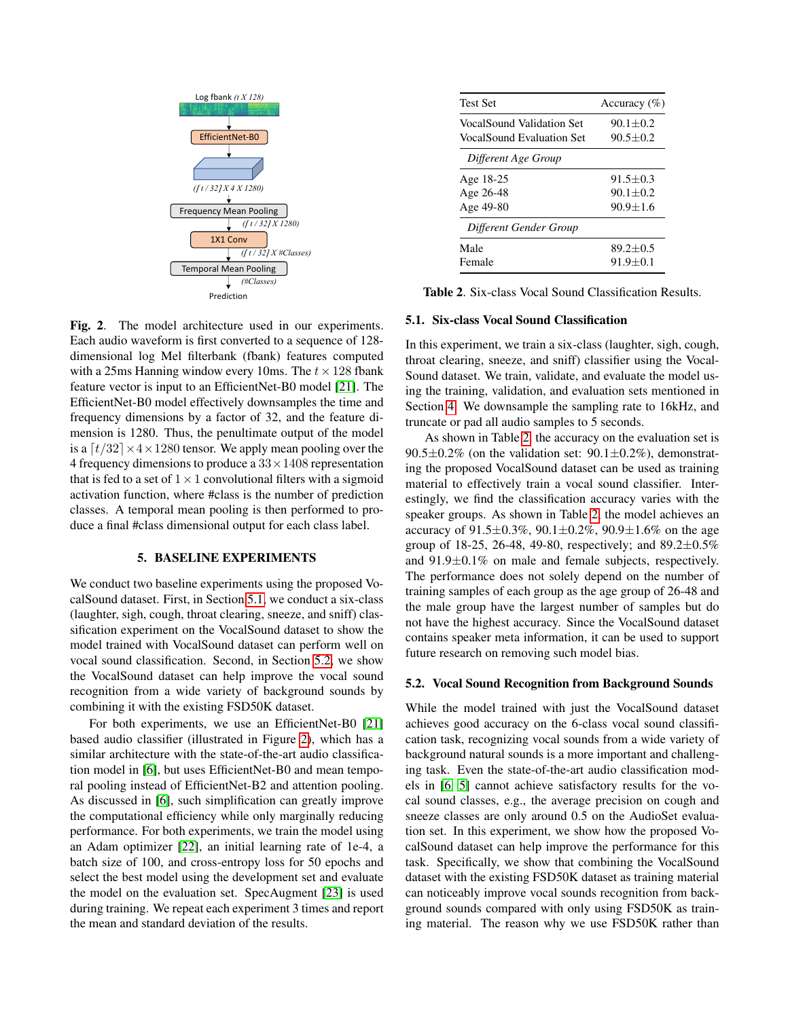

<span id="page-2-2"></span>Fig. 2. The model architecture used in our experiments. Each audio waveform is first converted to a sequence of 128 dimensional log Mel filterbank (fbank) features computed with a 25ms Hanning window every 10ms. The  $t \times 128$  fbank feature vector is input to an EfficientNet-B0 model [\[21\]](#page-4-20). The EfficientNet-B0 model effectively downsamples the time and frequency dimensions by a factor of 32, and the feature dimension is 1280. Thus, the penultimate output of the model is a  $\lceil t/32 \rceil \times 4 \times 1280$  tensor. We apply mean pooling over the 4 frequency dimensions to produce a  $33 \times 1408$  representation that is fed to a set of  $1 \times 1$  convolutional filters with a sigmoid activation function, where #class is the number of prediction classes. A temporal mean pooling is then performed to produce a final #class dimensional output for each class label.

# 5. BASELINE EXPERIMENTS

We conduct two baseline experiments using the proposed VocalSound dataset. First, in Section [5.1,](#page-2-0) we conduct a six-class (laughter, sigh, cough, throat clearing, sneeze, and sniff) classification experiment on the VocalSound dataset to show the model trained with VocalSound dataset can perform well on vocal sound classification. Second, in Section [5.2,](#page-2-1) we show the VocalSound dataset can help improve the vocal sound recognition from a wide variety of background sounds by combining it with the existing FSD50K dataset.

For both experiments, we use an EfficientNet-B0 [\[21\]](#page-4-20) based audio classifier (illustrated in Figure [2\)](#page-2-2), which has a similar architecture with the state-of-the-art audio classification model in [\[6\]](#page-4-5), but uses EfficientNet-B0 and mean temporal pooling instead of EfficientNet-B2 and attention pooling. As discussed in [\[6\]](#page-4-5), such simplification can greatly improve the computational efficiency while only marginally reducing performance. For both experiments, we train the model using an Adam optimizer [\[22\]](#page-4-21), an initial learning rate of 1e-4, a batch size of 100, and cross-entropy loss for 50 epochs and select the best model using the development set and evaluate the model on the evaluation set. SpecAugment [\[23\]](#page-4-22) is used during training. We repeat each experiment 3 times and report the mean and standard deviation of the results.

| <b>Test Set</b>           | Accuracy $(\% )$ |
|---------------------------|------------------|
| VocalSound Validation Set | $90.1 + 0.2$     |
| VocalSound Evaluation Set | $90.5 \pm 0.2$   |
| Different Age Group       |                  |
| Age 18-25                 | $91.5 + 0.3$     |
| Age 26-48                 | $90.1 + 0.2$     |
| Age 49-80                 | $90.9 + 1.6$     |
| Different Gender Group    |                  |
| Male                      | $89.2 + 0.5$     |
| Female                    | $91.9 + 0.1$     |

<span id="page-2-3"></span>Table 2. Six-class Vocal Sound Classification Results.

## <span id="page-2-0"></span>5.1. Six-class Vocal Sound Classification

In this experiment, we train a six-class (laughter, sigh, cough, throat clearing, sneeze, and sniff) classifier using the Vocal-Sound dataset. We train, validate, and evaluate the model using the training, validation, and evaluation sets mentioned in Section [4.](#page-1-2) We downsample the sampling rate to 16kHz, and truncate or pad all audio samples to 5 seconds.

As shown in Table [2,](#page-2-3) the accuracy on the evaluation set is 90.5 $\pm$ 0.2% (on the validation set: 90.1 $\pm$ 0.2%), demonstrating the proposed VocalSound dataset can be used as training material to effectively train a vocal sound classifier. Interestingly, we find the classification accuracy varies with the speaker groups. As shown in Table [2,](#page-2-3) the model achieves an accuracy of  $91.5\pm0.3\%$ ,  $90.1\pm0.2\%$ ,  $90.9\pm1.6\%$  on the age group of 18-25, 26-48, 49-80, respectively; and  $89.2 \pm 0.5\%$ and 91.9±0.1% on male and female subjects, respectively. The performance does not solely depend on the number of training samples of each group as the age group of 26-48 and the male group have the largest number of samples but do not have the highest accuracy. Since the VocalSound dataset contains speaker meta information, it can be used to support future research on removing such model bias.

#### <span id="page-2-1"></span>5.2. Vocal Sound Recognition from Background Sounds

While the model trained with just the VocalSound dataset achieves good accuracy on the 6-class vocal sound classification task, recognizing vocal sounds from a wide variety of background natural sounds is a more important and challenging task. Even the state-of-the-art audio classification models in [\[6,](#page-4-5) [5\]](#page-4-4) cannot achieve satisfactory results for the vocal sound classes, e.g., the average precision on cough and sneeze classes are only around 0.5 on the AudioSet evaluation set. In this experiment, we show how the proposed VocalSound dataset can help improve the performance for this task. Specifically, we show that combining the VocalSound dataset with the existing FSD50K dataset as training material can noticeably improve vocal sounds recognition from background sounds compared with only using FSD50K as training material. The reason why we use FSD50K rather than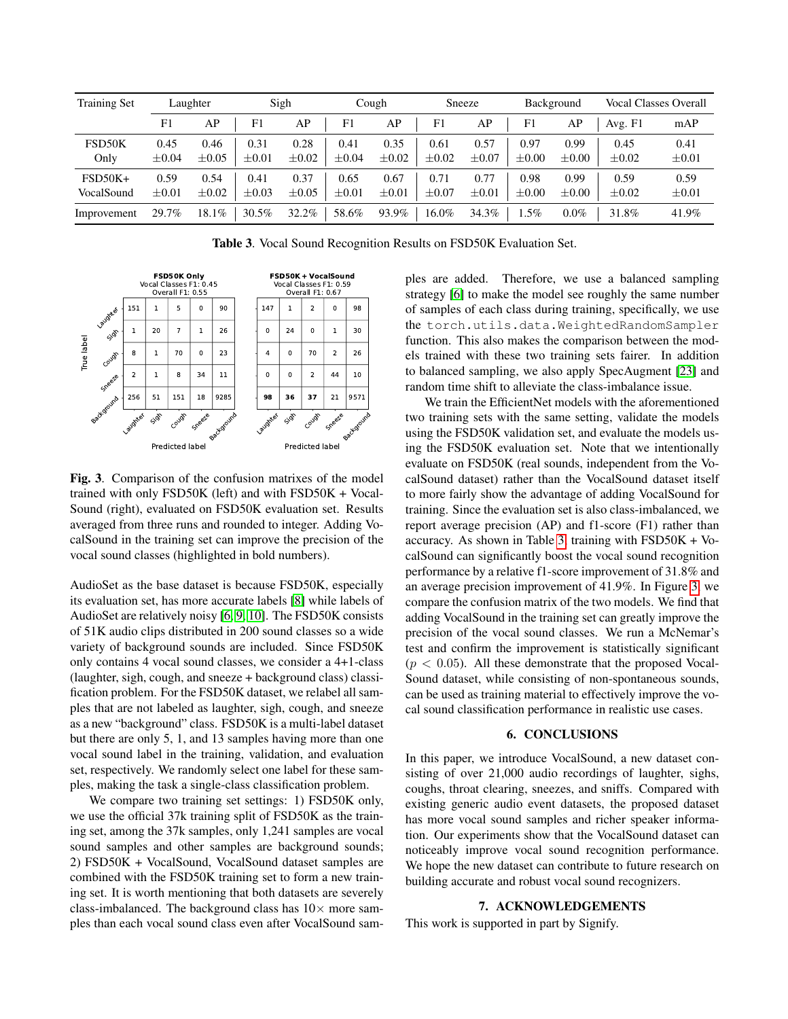| <b>Training Set</b>     | Laughter           |                    | Sigh               |                    | Cough              |                    | Sneeze             |                    | Background         |                    | <b>Vocal Classes Overall</b> |                    |
|-------------------------|--------------------|--------------------|--------------------|--------------------|--------------------|--------------------|--------------------|--------------------|--------------------|--------------------|------------------------------|--------------------|
|                         | F1                 | AP                 | F1                 | AP                 | F1                 | AP                 | F1                 | AP                 | F1                 | AP                 | Avg. Fl                      | mAP                |
| FSD50K<br>Only          | 0.45<br>$\pm 0.04$ | 0.46<br>$\pm 0.05$ | 0.31<br>$\pm 0.01$ | 0.28<br>$\pm 0.02$ | 0.41<br>$\pm 0.04$ | 0.35<br>$\pm 0.02$ | 0.61<br>$\pm 0.02$ | 0.57<br>$\pm 0.07$ | 0.97<br>$\pm 0.00$ | 0.99<br>$\pm 0.00$ | 0.45<br>$\pm 0.02$           | 0.41<br>$\pm 0.01$ |
| $FSD50K+$<br>VocalSound | 0.59<br>$\pm 0.01$ | 0.54<br>$\pm 0.02$ | 0.41<br>$\pm 0.03$ | 0.37<br>$\pm 0.05$ | 0.65<br>$\pm 0.01$ | 0.67<br>$\pm 0.01$ | 0.71<br>$\pm 0.07$ | 0.77<br>$\pm 0.01$ | 0.98<br>$\pm 0.00$ | 0.99<br>$\pm 0.00$ | 0.59<br>$\pm 0.02$           | 0.59<br>$\pm 0.01$ |
| Improvement             | 29.7%              | 18.1%              | 30.5%              | $32.2\%$           | 58.6%              | 93.9%              | 16.0%              | 34.3%              | 1.5%               | $0.0\%$            | 31.8%                        | 41.9%              |

<span id="page-3-0"></span>Table 3. Vocal Sound Recognition Results on FSD50K Evaluation Set.



<span id="page-3-1"></span>Fig. 3. Comparison of the confusion matrixes of the model trained with only FSD50K (left) and with FSD50K + Vocal-Sound (right), evaluated on FSD50K evaluation set. Results averaged from three runs and rounded to integer. Adding VocalSound in the training set can improve the precision of the vocal sound classes (highlighted in bold numbers).

AudioSet as the base dataset is because FSD50K, especially its evaluation set, has more accurate labels [\[8\]](#page-4-7) while labels of AudioSet are relatively noisy [\[6,](#page-4-5) [9,](#page-4-8) [10\]](#page-4-9). The FSD50K consists of 51K audio clips distributed in 200 sound classes so a wide variety of background sounds are included. Since FSD50K only contains 4 vocal sound classes, we consider a 4+1-class (laughter, sigh, cough, and sneeze + background class) classification problem. For the FSD50K dataset, we relabel all samples that are not labeled as laughter, sigh, cough, and sneeze as a new "background" class. FSD50K is a multi-label dataset but there are only 5, 1, and 13 samples having more than one vocal sound label in the training, validation, and evaluation set, respectively. We randomly select one label for these samples, making the task a single-class classification problem.

We compare two training set settings: 1) FSD50K only, we use the official 37k training split of FSD50K as the training set, among the 37k samples, only 1,241 samples are vocal sound samples and other samples are background sounds; 2) FSD50K + VocalSound, VocalSound dataset samples are combined with the FSD50K training set to form a new training set. It is worth mentioning that both datasets are severely class-imbalanced. The background class has  $10\times$  more samples than each vocal sound class even after VocalSound samples are added. Therefore, we use a balanced sampling strategy [\[6\]](#page-4-5) to make the model see roughly the same number of samples of each class during training, specifically, we use the torch.utils.data.WeightedRandomSampler function. This also makes the comparison between the models trained with these two training sets fairer. In addition to balanced sampling, we also apply SpecAugment [\[23\]](#page-4-22) and random time shift to alleviate the class-imbalance issue.

We train the EfficientNet models with the aforementioned two training sets with the same setting, validate the models using the FSD50K validation set, and evaluate the models using the FSD50K evaluation set. Note that we intentionally evaluate on FSD50K (real sounds, independent from the VocalSound dataset) rather than the VocalSound dataset itself to more fairly show the advantage of adding VocalSound for training. Since the evaluation set is also class-imbalanced, we report average precision (AP) and f1-score (F1) rather than accuracy. As shown in Table [3,](#page-3-0) training with  $FSD50K + Vo$ calSound can significantly boost the vocal sound recognition performance by a relative f1-score improvement of 31.8% and an average precision improvement of 41.9%. In Figure [3,](#page-3-1) we compare the confusion matrix of the two models. We find that adding VocalSound in the training set can greatly improve the precision of the vocal sound classes. We run a McNemar's test and confirm the improvement is statistically significant  $(p < 0.05)$ . All these demonstrate that the proposed Vocal-Sound dataset, while consisting of non-spontaneous sounds, can be used as training material to effectively improve the vocal sound classification performance in realistic use cases.

# 6. CONCLUSIONS

In this paper, we introduce VocalSound, a new dataset consisting of over 21,000 audio recordings of laughter, sighs, coughs, throat clearing, sneezes, and sniffs. Compared with existing generic audio event datasets, the proposed dataset has more vocal sound samples and richer speaker information. Our experiments show that the VocalSound dataset can noticeably improve vocal sound recognition performance. We hope the new dataset can contribute to future research on building accurate and robust vocal sound recognizers.

# 7. ACKNOWLEDGEMENTS

This work is supported in part by Signify.